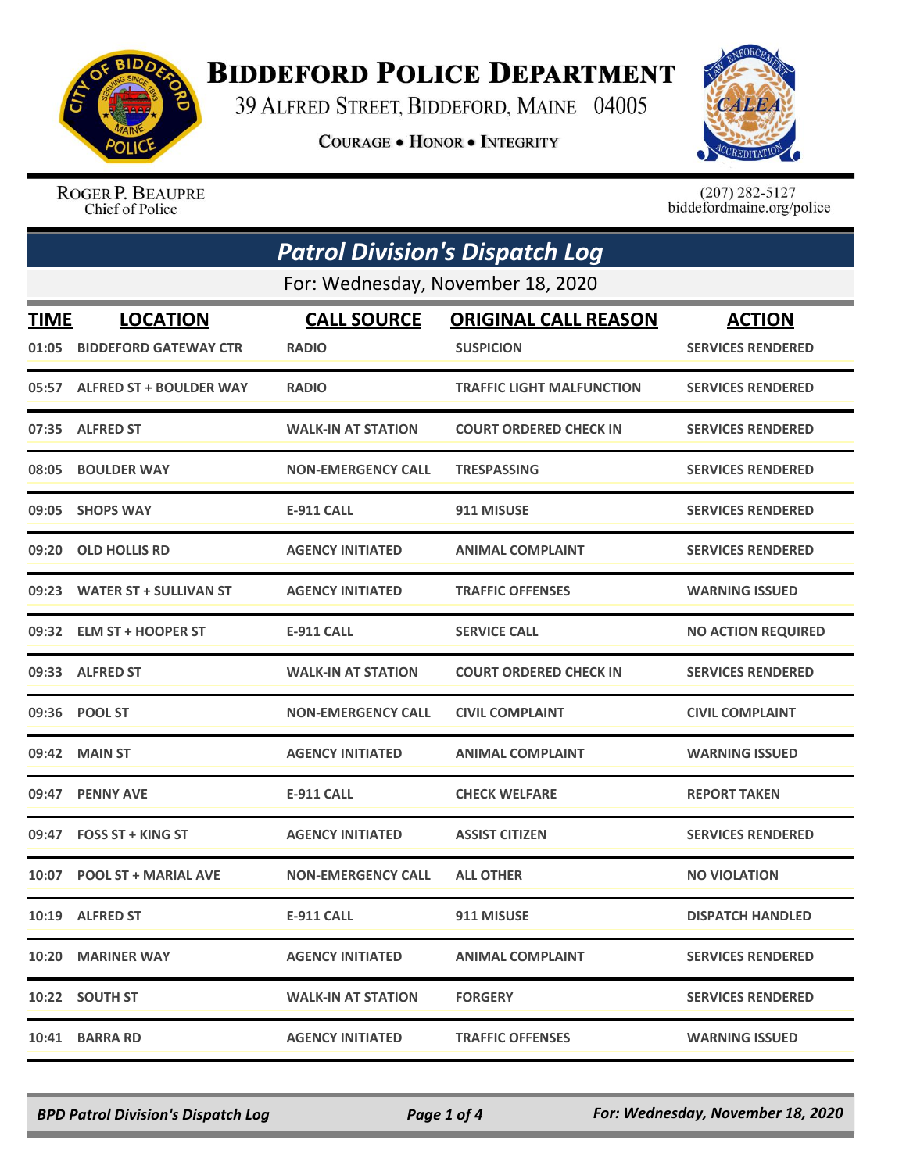

## **BIDDEFORD POLICE DEPARTMENT**

39 ALFRED STREET, BIDDEFORD, MAINE 04005

**COURAGE . HONOR . INTEGRITY** 



ROGER P. BEAUPRE Chief of Police

 $(207)$  282-5127<br>biddefordmaine.org/police

| <b>Patrol Division's Dispatch Log</b> |                                   |                           |                                  |                           |  |  |
|---------------------------------------|-----------------------------------|---------------------------|----------------------------------|---------------------------|--|--|
|                                       | For: Wednesday, November 18, 2020 |                           |                                  |                           |  |  |
| <b>TIME</b>                           | <b>LOCATION</b>                   | <b>CALL SOURCE</b>        | <b>ORIGINAL CALL REASON</b>      | <b>ACTION</b>             |  |  |
| 01:05                                 | <b>BIDDEFORD GATEWAY CTR</b>      | <b>RADIO</b>              | <b>SUSPICION</b>                 | <b>SERVICES RENDERED</b>  |  |  |
|                                       | 05:57 ALFRED ST + BOULDER WAY     | <b>RADIO</b>              | <b>TRAFFIC LIGHT MALFUNCTION</b> | <b>SERVICES RENDERED</b>  |  |  |
| 07:35                                 | <b>ALFRED ST</b>                  | <b>WALK-IN AT STATION</b> | <b>COURT ORDERED CHECK IN</b>    | <b>SERVICES RENDERED</b>  |  |  |
|                                       | 08:05 BOULDER WAY                 | <b>NON-EMERGENCY CALL</b> | <b>TRESPASSING</b>               | <b>SERVICES RENDERED</b>  |  |  |
| 09:05                                 | <b>SHOPS WAY</b>                  | <b>E-911 CALL</b>         | 911 MISUSE                       | <b>SERVICES RENDERED</b>  |  |  |
| 09:20                                 | <b>OLD HOLLIS RD</b>              | <b>AGENCY INITIATED</b>   | <b>ANIMAL COMPLAINT</b>          | <b>SERVICES RENDERED</b>  |  |  |
|                                       | 09:23 WATER ST + SULLIVAN ST      | <b>AGENCY INITIATED</b>   | <b>TRAFFIC OFFENSES</b>          | <b>WARNING ISSUED</b>     |  |  |
|                                       | 09:32 ELM ST + HOOPER ST          | <b>E-911 CALL</b>         | <b>SERVICE CALL</b>              | <b>NO ACTION REQUIRED</b> |  |  |
|                                       | 09:33 ALFRED ST                   | <b>WALK-IN AT STATION</b> | <b>COURT ORDERED CHECK IN</b>    | <b>SERVICES RENDERED</b>  |  |  |
| 09:36                                 | <b>POOL ST</b>                    | <b>NON-EMERGENCY CALL</b> | <b>CIVIL COMPLAINT</b>           | <b>CIVIL COMPLAINT</b>    |  |  |
|                                       | 09:42 MAIN ST                     | <b>AGENCY INITIATED</b>   | <b>ANIMAL COMPLAINT</b>          | <b>WARNING ISSUED</b>     |  |  |
| 09:47                                 | <b>PENNY AVE</b>                  | <b>E-911 CALL</b>         | <b>CHECK WELFARE</b>             | <b>REPORT TAKEN</b>       |  |  |
| 09:47                                 | <b>FOSS ST + KING ST</b>          | <b>AGENCY INITIATED</b>   | <b>ASSIST CITIZEN</b>            | <b>SERVICES RENDERED</b>  |  |  |
|                                       | 10:07 POOL ST + MARIAL AVE        | <b>NON-EMERGENCY CALL</b> | <b>ALL OTHER</b>                 | <b>NO VIOLATION</b>       |  |  |
|                                       | 10:19 ALFRED ST                   | <b>E-911 CALL</b>         | 911 MISUSE                       | <b>DISPATCH HANDLED</b>   |  |  |
|                                       | 10:20 MARINER WAY                 | <b>AGENCY INITIATED</b>   | <b>ANIMAL COMPLAINT</b>          | <b>SERVICES RENDERED</b>  |  |  |
|                                       | 10:22 SOUTH ST                    | <b>WALK-IN AT STATION</b> | <b>FORGERY</b>                   | <b>SERVICES RENDERED</b>  |  |  |
| 10:41                                 | <b>BARRA RD</b>                   | <b>AGENCY INITIATED</b>   | <b>TRAFFIC OFFENSES</b>          | <b>WARNING ISSUED</b>     |  |  |

*BPD Patrol Division's Dispatch Log Page 1 of 4 For: Wednesday, November 18, 2020*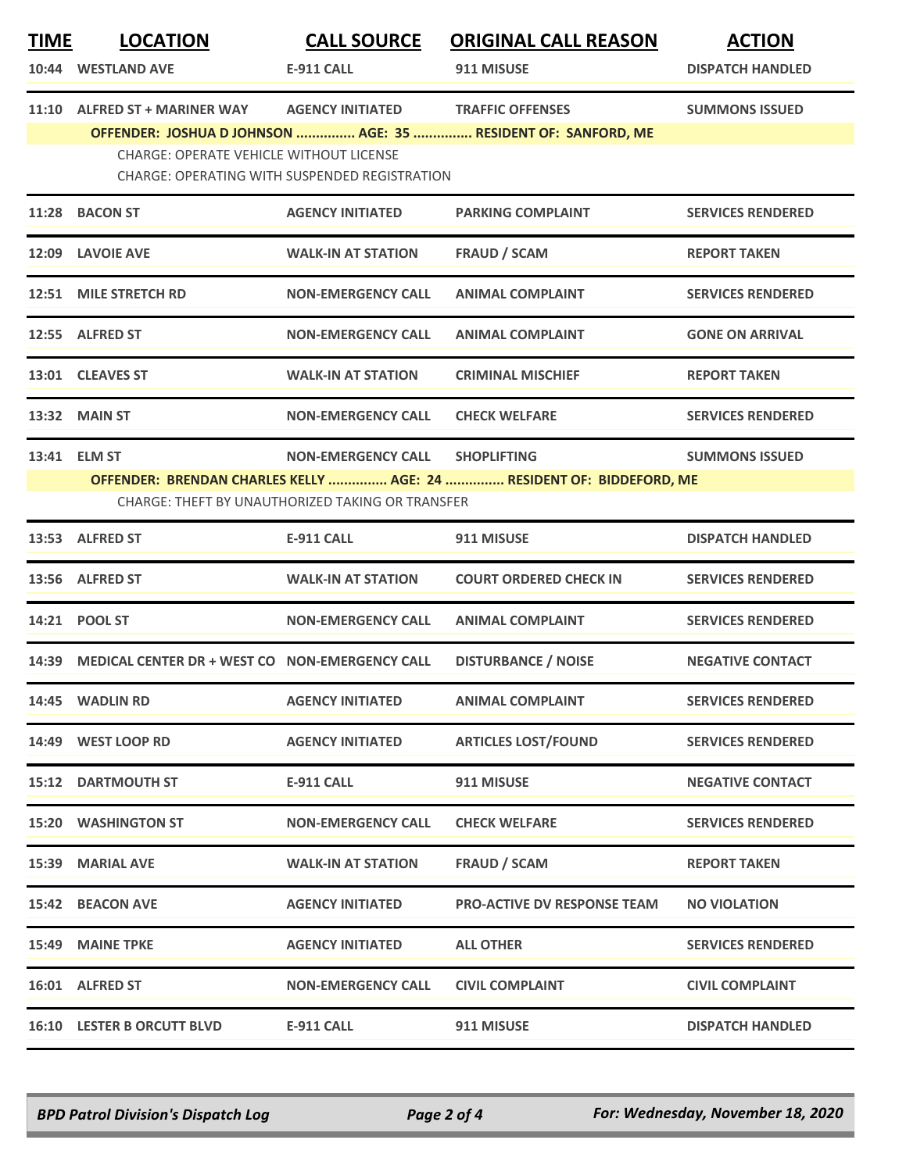| <b>TIME</b> | <b>LOCATION</b>                                                                                                          | <b>CALL SOURCE</b>        | <b>ORIGINAL CALL REASON</b>                                   | <b>ACTION</b>            |  |
|-------------|--------------------------------------------------------------------------------------------------------------------------|---------------------------|---------------------------------------------------------------|--------------------------|--|
|             | 10:44 WESTLAND AVE                                                                                                       | E-911 CALL                | 911 MISUSE                                                    | <b>DISPATCH HANDLED</b>  |  |
|             | 11:10 ALFRED ST + MARINER WAY                                                                                            | <b>AGENCY INITIATED</b>   | <b>TRAFFIC OFFENSES</b>                                       | <b>SUMMONS ISSUED</b>    |  |
|             |                                                                                                                          |                           | OFFENDER: JOSHUA D JOHNSON  AGE: 35  RESIDENT OF: SANFORD, ME |                          |  |
|             | <b>CHARGE: OPERATE VEHICLE WITHOUT LICENSE</b><br>CHARGE: OPERATING WITH SUSPENDED REGISTRATION                          |                           |                                                               |                          |  |
|             | 11:28 BACON ST                                                                                                           | <b>AGENCY INITIATED</b>   | <b>PARKING COMPLAINT</b>                                      | <b>SERVICES RENDERED</b> |  |
|             | 12:09 LAVOIE AVE                                                                                                         | <b>WALK-IN AT STATION</b> | <b>FRAUD / SCAM</b>                                           | <b>REPORT TAKEN</b>      |  |
| 12:51       | <b>MILE STRETCH RD</b>                                                                                                   | <b>NON-EMERGENCY CALL</b> | <b>ANIMAL COMPLAINT</b>                                       | <b>SERVICES RENDERED</b> |  |
|             | 12:55 ALFRED ST                                                                                                          | <b>NON-EMERGENCY CALL</b> | <b>ANIMAL COMPLAINT</b>                                       | <b>GONE ON ARRIVAL</b>   |  |
|             | 13:01 CLEAVES ST                                                                                                         | <b>WALK-IN AT STATION</b> | <b>CRIMINAL MISCHIEF</b>                                      | <b>REPORT TAKEN</b>      |  |
|             | 13:32 MAIN ST                                                                                                            | <b>NON-EMERGENCY CALL</b> | <b>CHECK WELFARE</b>                                          | <b>SERVICES RENDERED</b> |  |
|             | 13:41 ELM ST                                                                                                             | <b>NON-EMERGENCY CALL</b> | <b>SHOPLIFTING</b>                                            | <b>SUMMONS ISSUED</b>    |  |
|             | OFFENDER: BRENDAN CHARLES KELLY  AGE: 24  RESIDENT OF: BIDDEFORD, ME<br>CHARGE: THEFT BY UNAUTHORIZED TAKING OR TRANSFER |                           |                                                               |                          |  |
|             | 13:53 ALFRED ST                                                                                                          | <b>E-911 CALL</b>         | 911 MISUSE                                                    | <b>DISPATCH HANDLED</b>  |  |
|             | 13:56 ALFRED ST                                                                                                          | <b>WALK-IN AT STATION</b> | <b>COURT ORDERED CHECK IN</b>                                 | <b>SERVICES RENDERED</b> |  |
|             | 14:21 POOL ST                                                                                                            | <b>NON-EMERGENCY CALL</b> | <b>ANIMAL COMPLAINT</b>                                       | <b>SERVICES RENDERED</b> |  |
|             | 14:39 MEDICAL CENTER DR + WEST CO NON-EMERGENCY CALL                                                                     |                           | <b>DISTURBANCE / NOISE</b>                                    | <b>NEGATIVE CONTACT</b>  |  |
|             | 14:45 WADLIN RD                                                                                                          | <b>AGENCY INITIATED</b>   | <b>ANIMAL COMPLAINT</b>                                       | <b>SERVICES RENDERED</b> |  |
|             | 14:49 WEST LOOP RD                                                                                                       | <b>AGENCY INITIATED</b>   | <b>ARTICLES LOST/FOUND</b>                                    | <b>SERVICES RENDERED</b> |  |
|             | <b>15:12 DARTMOUTH ST</b>                                                                                                | <b>E-911 CALL</b>         | 911 MISUSE                                                    | <b>NEGATIVE CONTACT</b>  |  |
|             | <b>15:20 WASHINGTON ST</b>                                                                                               | <b>NON-EMERGENCY CALL</b> | <b>CHECK WELFARE</b>                                          | <b>SERVICES RENDERED</b> |  |
|             | 15:39 MARIAL AVE                                                                                                         | <b>WALK-IN AT STATION</b> | FRAUD / SCAM                                                  | <b>REPORT TAKEN</b>      |  |
|             | 15:42 BEACON AVE                                                                                                         | <b>AGENCY INITIATED</b>   | <b>PRO-ACTIVE DV RESPONSE TEAM</b>                            | <b>NO VIOLATION</b>      |  |
|             | 15:49 MAINE TPKE                                                                                                         | <b>AGENCY INITIATED</b>   | <b>ALL OTHER</b>                                              | <b>SERVICES RENDERED</b> |  |
|             | 16:01 ALFRED ST                                                                                                          | <b>NON-EMERGENCY CALL</b> | <b>CIVIL COMPLAINT</b>                                        | <b>CIVIL COMPLAINT</b>   |  |
|             | <b>16:10 LESTER B ORCUTT BLVD</b>                                                                                        | <b>E-911 CALL</b>         | 911 MISUSE                                                    | <b>DISPATCH HANDLED</b>  |  |

*BPD Patrol Division's Dispatch Log Page 2 of 4 For: Wednesday, November 18, 2020*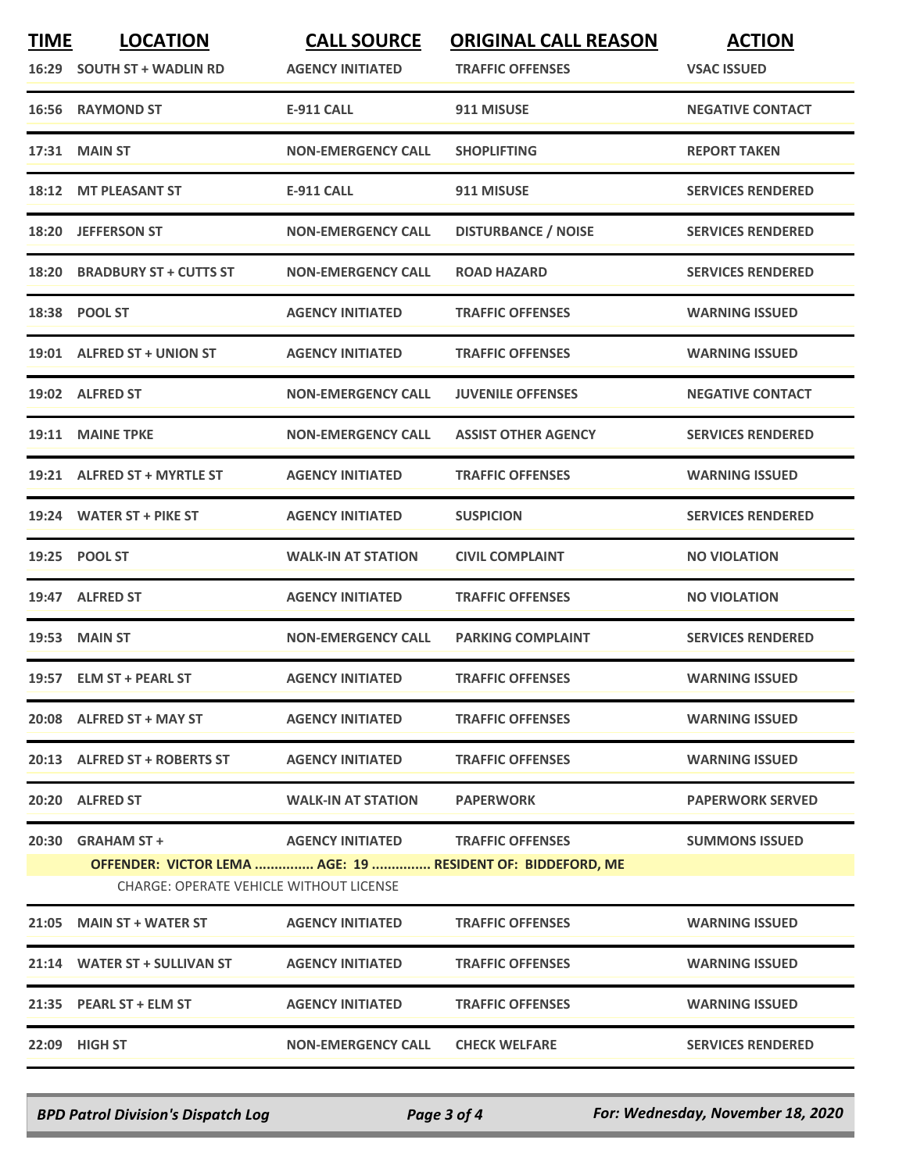| <b>TIME</b> | <b>LOCATION</b><br>16:29 SOUTH ST + WADLIN RD                                                                | <b>CALL SOURCE</b><br><b>AGENCY INITIATED</b> | <b>ORIGINAL CALL REASON</b><br><b>TRAFFIC OFFENSES</b> | <b>ACTION</b><br><b>VSAC ISSUED</b> |
|-------------|--------------------------------------------------------------------------------------------------------------|-----------------------------------------------|--------------------------------------------------------|-------------------------------------|
|             | 16:56 RAYMOND ST                                                                                             | <b>E-911 CALL</b>                             | 911 MISUSE                                             | <b>NEGATIVE CONTACT</b>             |
|             | 17:31 MAIN ST                                                                                                | <b>NON-EMERGENCY CALL</b>                     | <b>SHOPLIFTING</b>                                     | <b>REPORT TAKEN</b>                 |
|             | 18:12 MT PLEASANT ST                                                                                         | E-911 CALL                                    | 911 MISUSE                                             | <b>SERVICES RENDERED</b>            |
|             | 18:20 JEFFERSON ST                                                                                           | <b>NON-EMERGENCY CALL</b>                     | <b>DISTURBANCE / NOISE</b>                             | <b>SERVICES RENDERED</b>            |
|             | 18:20 BRADBURY ST + CUTTS ST                                                                                 | <b>NON-EMERGENCY CALL</b>                     | <b>ROAD HAZARD</b>                                     | <b>SERVICES RENDERED</b>            |
| 18:38       | <b>POOL ST</b>                                                                                               | <b>AGENCY INITIATED</b>                       | <b>TRAFFIC OFFENSES</b>                                | <b>WARNING ISSUED</b>               |
|             | 19:01 ALFRED ST + UNION ST                                                                                   | <b>AGENCY INITIATED</b>                       | <b>TRAFFIC OFFENSES</b>                                | <b>WARNING ISSUED</b>               |
|             | 19:02 ALFRED ST                                                                                              | <b>NON-EMERGENCY CALL</b>                     | <b>JUVENILE OFFENSES</b>                               | <b>NEGATIVE CONTACT</b>             |
|             | 19:11 MAINE TPKE                                                                                             | <b>NON-EMERGENCY CALL</b>                     | <b>ASSIST OTHER AGENCY</b>                             | <b>SERVICES RENDERED</b>            |
|             | 19:21 ALFRED ST + MYRTLE ST                                                                                  | <b>AGENCY INITIATED</b>                       | <b>TRAFFIC OFFENSES</b>                                | <b>WARNING ISSUED</b>               |
|             | 19:24 WATER ST + PIKE ST                                                                                     | <b>AGENCY INITIATED</b>                       | <b>SUSPICION</b>                                       | <b>SERVICES RENDERED</b>            |
|             | 19:25 POOL ST                                                                                                | <b>WALK-IN AT STATION</b>                     | <b>CIVIL COMPLAINT</b>                                 | <b>NO VIOLATION</b>                 |
|             | 19:47 ALFRED ST                                                                                              | <b>AGENCY INITIATED</b>                       | <b>TRAFFIC OFFENSES</b>                                | <b>NO VIOLATION</b>                 |
|             | <b>19:53 MAIN ST</b>                                                                                         | <b>NON-EMERGENCY CALL</b>                     | <b>PARKING COMPLAINT</b>                               | <b>SERVICES RENDERED</b>            |
|             | 19:57 ELM ST + PEARL ST                                                                                      | <b>AGENCY INITIATED</b>                       | <b>TRAFFIC OFFENSES</b>                                | <b>WARNING ISSUED</b>               |
|             | 20:08 ALFRED ST + MAY ST                                                                                     | <b>AGENCY INITIATED</b>                       | <b>TRAFFIC OFFENSES</b>                                | <b>WARNING ISSUED</b>               |
|             | 20:13 ALFRED ST + ROBERTS ST                                                                                 | <b>AGENCY INITIATED</b>                       | <b>TRAFFIC OFFENSES</b>                                | <b>WARNING ISSUED</b>               |
|             | 20:20 ALFRED ST                                                                                              | <b>WALK-IN AT STATION</b>                     | <b>PAPERWORK</b>                                       | <b>PAPERWORK SERVED</b>             |
|             | $20:30$ GRAHAM ST +                                                                                          | AGENCY INITIATED TRAFFIC OFFENSES             |                                                        | <b>SUMMONS ISSUED</b>               |
|             | OFFENDER: VICTOR LEMA  AGE: 19  RESIDENT OF: BIDDEFORD, ME<br><b>CHARGE: OPERATE VEHICLE WITHOUT LICENSE</b> |                                               |                                                        |                                     |
|             | 21:05 MAIN ST + WATER ST                                                                                     | <b>AGENCY INITIATED</b>                       | <b>TRAFFIC OFFENSES</b>                                | <b>WARNING ISSUED</b>               |
|             | 21:14 WATER ST + SULLIVAN ST                                                                                 | <b>AGENCY INITIATED</b>                       | <b>TRAFFIC OFFENSES</b>                                | <b>WARNING ISSUED</b>               |
|             | 21:35 PEARL ST + ELM ST                                                                                      | <b>AGENCY INITIATED</b>                       | <b>TRAFFIC OFFENSES</b>                                | <b>WARNING ISSUED</b>               |
|             | 22:09 HIGH ST                                                                                                | <b>NON-EMERGENCY CALL</b>                     | <b>CHECK WELFARE</b>                                   | <b>SERVICES RENDERED</b>            |

*BPD Patrol Division's Dispatch Log Page 3 of 4 For: Wednesday, November 18, 2020*